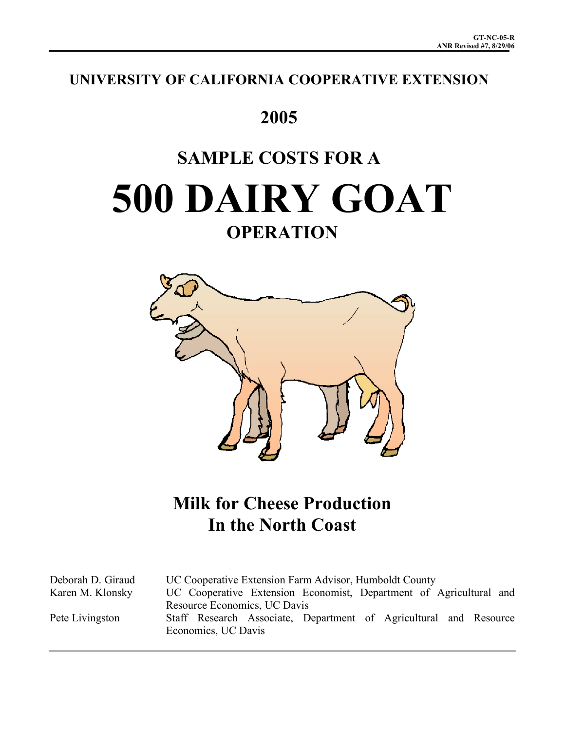# **UNIVERSITY OF CALIFORNIA COOPERATIVE EXTENSION**

# **2005**

# **SAMPLE COSTS FOR A 500 DAIRY GOAT OPERATION**



# **Milk for Cheese Production In the North Coast**

Deborah D. Giraud UC Cooperative Extension Farm Advisor, Humboldt County Karen M. Klonsky UC Cooperative Extension Economist, Department of Agricultural and Resource Economics, UC Davis Pete Livingston Staff Research Associate, Department of Agricultural and Resource Economics, UC Davis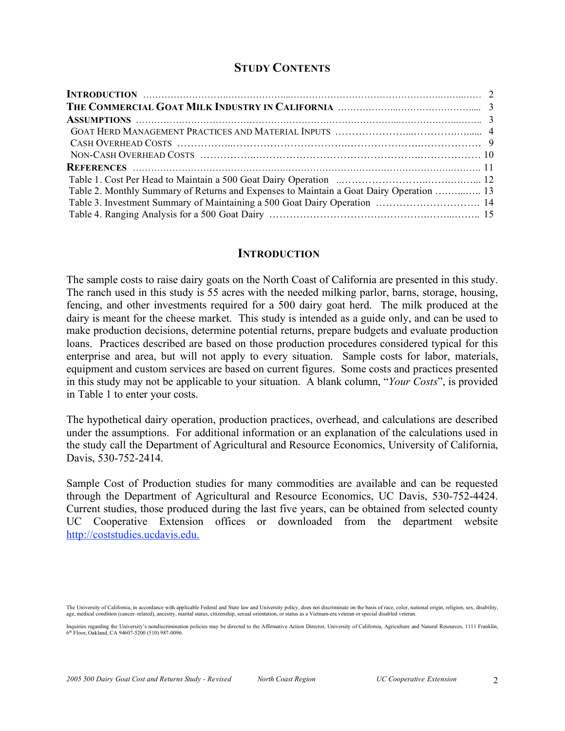## **STUDY CONTENTS**

| Table 2. Monthly Summary of Returns and Expenses to Maintain a Goat Dairy Operation  13 |  |
|-----------------------------------------------------------------------------------------|--|
|                                                                                         |  |
|                                                                                         |  |

#### **INTRODUCTION**

The sample costs to raise dairy goats on the North Coast of California are presented in this study. The ranch used in this study is 55 acres with the needed milking parlor, barns, storage, housing, fencing, and other investments required for a 500 dairy goat herd. The milk produced at the dairy is meant for the cheese market. This study is intended as a guide only, and can be used to make production decisions, determine potential returns, prepare budgets and evaluate production loans. Practices described are based on those production procedures considered typical for this enterprise and area, but will not apply to every situation. Sample costs for labor, materials, equipment and custom services are based on current figures. Some costs and practices presented in this study may not be applicable to your situation. A blank column, "*Your Costs*", is provided in Table 1 to enter your costs.

The hypothetical dairy operation, production practices, overhead, and calculations are described under the assumptions. For additional information or an explanation of the calculations used in the study call the Department of Agricultural and Resource Economics, University of California, Davis, 530-752-2414.

Sample Cost of Production studies for many commodities are available and can be requested through the Department of Agricultural and Resource Economics, UC Davis, 530-752-4424. Current studies, those produced during the last five years, can be obtained from selected county UC Cooperative Extension offices or downloaded from the department website http://coststudies.ucdavis.edu.

The University of California, in accordance with applicable Federal and State law and University policy, does not discriminate on the basis of race, color, national origin, religion, sex, disability, age, medical condition (cancer–related), ancestry, marital status, citizenship, sexual orientation, or status as a Vietnam-era veteran or special disabled veteran.

Inquiries regarding the University's nondiscrimination policies may be directed to the Affirmative Action Director, University of California, Agriculture and Natural Resources, 1111 Franklin, 6th Floor, Oakland, CA 94607-5200 (510) 987-0096.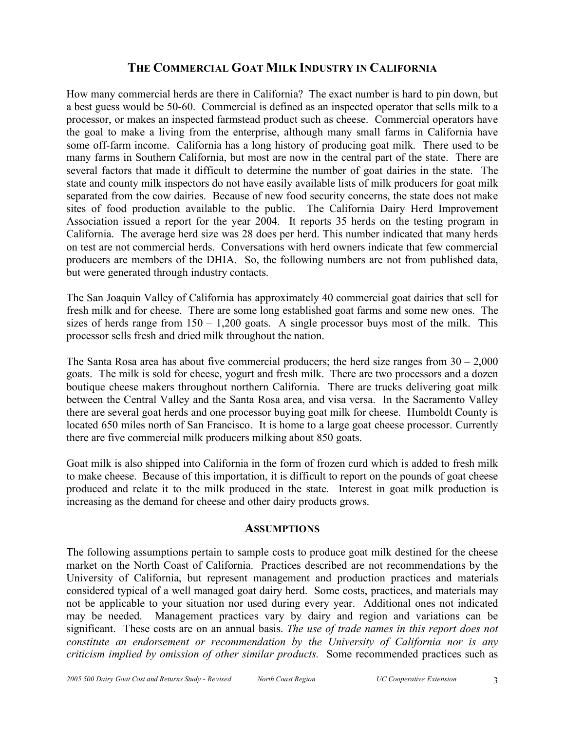## **THE COMMERCIAL GOAT MILK INDUSTRY IN CALIFORNIA**

How many commercial herds are there in California? The exact number is hard to pin down, but a best guess would be 50-60. Commercial is defined as an inspected operator that sells milk to a processor, or makes an inspected farmstead product such as cheese. Commercial operators have the goal to make a living from the enterprise, although many small farms in California have some off-farm income. California has a long history of producing goat milk. There used to be many farms in Southern California, but most are now in the central part of the state. There are several factors that made it difficult to determine the number of goat dairies in the state. The state and county milk inspectors do not have easily available lists of milk producers for goat milk separated from the cow dairies. Because of new food security concerns, the state does not make sites of food production available to the public. The California Dairy Herd Improvement Association issued a report for the year 2004. It reports 35 herds on the testing program in California. The average herd size was 28 does per herd. This number indicated that many herds on test are not commercial herds. Conversations with herd owners indicate that few commercial producers are members of the DHIA. So, the following numbers are not from published data, but were generated through industry contacts.

The San Joaquin Valley of California has approximately 40 commercial goat dairies that sell for fresh milk and for cheese. There are some long established goat farms and some new ones. The sizes of herds range from  $150 - 1,200$  goats. A single processor buys most of the milk. This processor sells fresh and dried milk throughout the nation.

The Santa Rosa area has about five commercial producers; the herd size ranges from  $30 - 2,000$ goats. The milk is sold for cheese, yogurt and fresh milk. There are two processors and a dozen boutique cheese makers throughout northern California. There are trucks delivering goat milk between the Central Valley and the Santa Rosa area, and visa versa. In the Sacramento Valley there are several goat herds and one processor buying goat milk for cheese. Humboldt County is located 650 miles north of San Francisco. It is home to a large goat cheese processor. Currently there are five commercial milk producers milking about 850 goats.

Goat milk is also shipped into California in the form of frozen curd which is added to fresh milk to make cheese. Because of this importation, it is difficult to report on the pounds of goat cheese produced and relate it to the milk produced in the state. Interest in goat milk production is increasing as the demand for cheese and other dairy products grows.

#### **ASSUMPTIONS**

The following assumptions pertain to sample costs to produce goat milk destined for the cheese market on the North Coast of California. Practices described are not recommendations by the University of California, but represent management and production practices and materials considered typical of a well managed goat dairy herd. Some costs, practices, and materials may not be applicable to your situation nor used during every year. Additional ones not indicated may be needed. Management practices vary by dairy and region and variations can be significant. These costs are on an annual basis. *The use of trade names in this report does not constitute an endorsement or recommendation by the University of California nor is any criticism implied by omission of other similar products.* Some recommended practices such as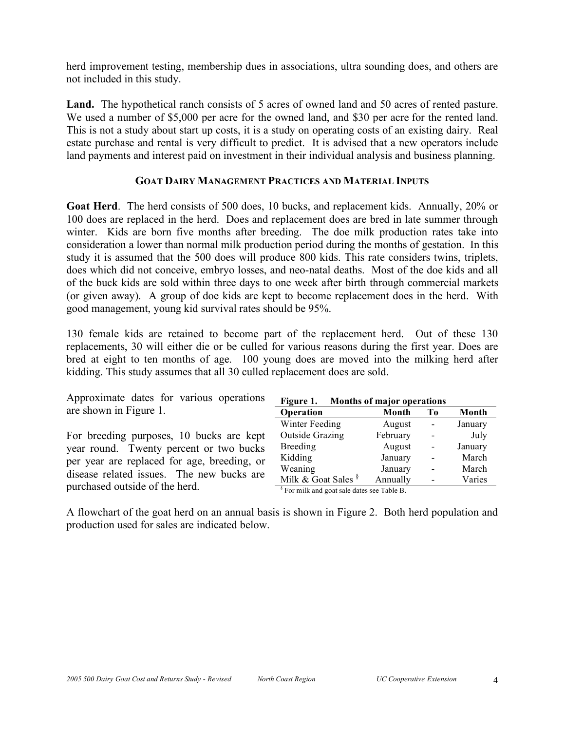herd improvement testing, membership dues in associations, ultra sounding does, and others are not included in this study.

**Land.** The hypothetical ranch consists of 5 acres of owned land and 50 acres of rented pasture. We used a number of \$5,000 per acre for the owned land, and \$30 per acre for the rented land. This is not a study about start up costs, it is a study on operating costs of an existing dairy. Real estate purchase and rental is very difficult to predict. It is advised that a new operators include land payments and interest paid on investment in their individual analysis and business planning.

#### **GOAT DAIRY MANAGEMENT PRACTICES AND MATERIAL INPUTS**

**Goat Herd**. The herd consists of 500 does, 10 bucks, and replacement kids. Annually, 20% or 100 does are replaced in the herd. Does and replacement does are bred in late summer through winter. Kids are born five months after breeding. The doe milk production rates take into consideration a lower than normal milk production period during the months of gestation. In this study it is assumed that the 500 does will produce 800 kids. This rate considers twins, triplets, does which did not conceive, embryo losses, and neo-natal deaths. Most of the doe kids and all of the buck kids are sold within three days to one week after birth through commercial markets (or given away). A group of doe kids are kept to become replacement does in the herd. With good management, young kid survival rates should be 95%.

130 female kids are retained to become part of the replacement herd. Out of these 130 replacements, 30 will either die or be culled for various reasons during the first year. Does are bred at eight to ten months of age. 100 young does are moved into the milking herd after kidding. This study assumes that all 30 culled replacement does are sold.

| Approximate dates for various operations    | Figure 1. Months of major operations                   |          |                              |         |
|---------------------------------------------|--------------------------------------------------------|----------|------------------------------|---------|
| are shown in Figure 1.                      | Operation                                              | Month    | Tо                           | Month   |
|                                             | Winter Feeding                                         | August   | $\overline{\phantom{a}}$     | January |
| For breeding purposes, 10 bucks are kept    | <b>Outside Grazing</b>                                 | February | $\qquad \qquad -$            | July    |
| year round. Twenty percent or two bucks     | <b>Breeding</b>                                        | August   | $\overline{\phantom{a}}$     | January |
| per year are replaced for age, breeding, or | Kidding                                                | January  | $\qquad \qquad \blacksquare$ | March   |
| disease related issues. The new bucks are   | Weaning                                                | January  | $\overline{\phantom{a}}$     | March   |
|                                             | Milk & Goat Sales $\frac{8}{3}$                        | Annually | $\overline{\phantom{a}}$     | Varies  |
| purchased outside of the herd.              | <sup>§</sup> For milk and goat sale dates see Table B. |          |                              |         |

A flowchart of the goat herd on an annual basis is shown in Figure 2. Both herd population and production used for sales are indicated below.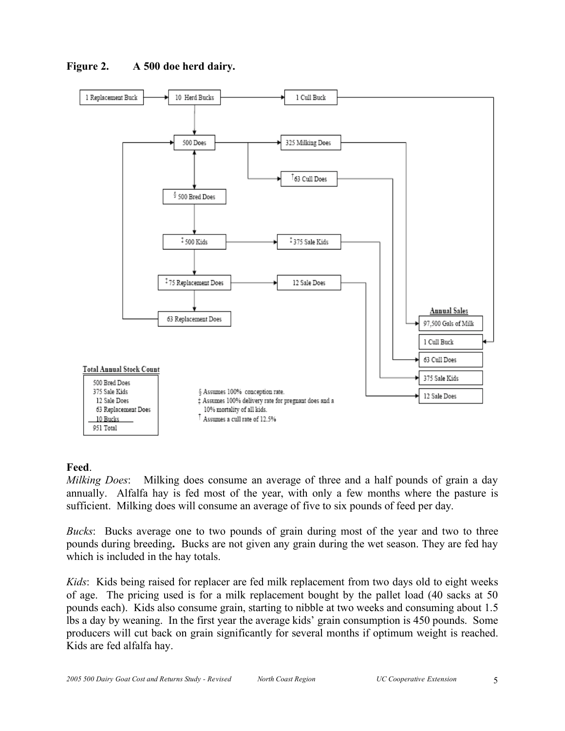

**Figure 2. A 500 doe herd dairy.**

#### **Feed**.

*Milking Does*: Milking does consume an average of three and a half pounds of grain a day annually. Alfalfa hay is fed most of the year, with only a few months where the pasture is sufficient. Milking does will consume an average of five to six pounds of feed per day.

*Bucks*: Bucks average one to two pounds of grain during most of the year and two to three pounds during breeding**.** Bucks are not given any grain during the wet season. They are fed hay which is included in the hay totals.

*Kids*: Kids being raised for replacer are fed milk replacement from two days old to eight weeks of age. The pricing used is for a milk replacement bought by the pallet load (40 sacks at 50 pounds each). Kids also consume grain, starting to nibble at two weeks and consuming about 1.5 lbs a day by weaning. In the first year the average kids' grain consumption is 450 pounds. Some producers will cut back on grain significantly for several months if optimum weight is reached. Kids are fed alfalfa hay.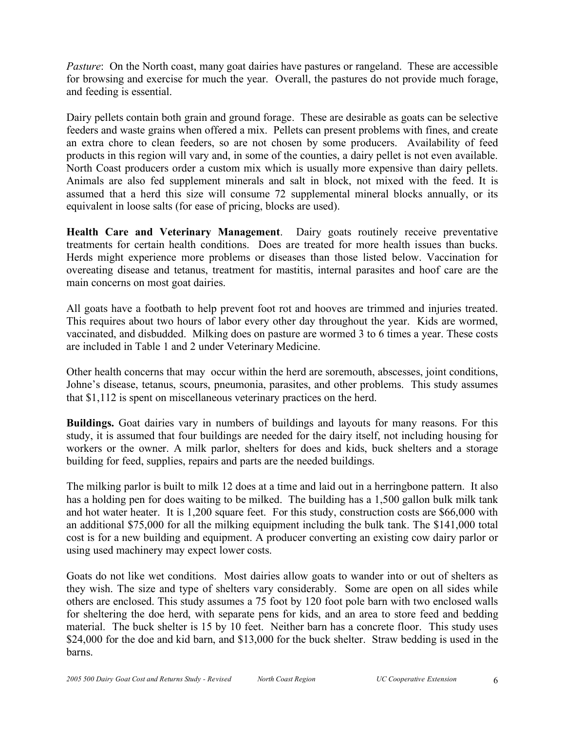*Pasture*: On the North coast, many goat dairies have pastures or rangeland. These are accessible for browsing and exercise for much the year. Overall, the pastures do not provide much forage, and feeding is essential.

Dairy pellets contain both grain and ground forage. These are desirable as goats can be selective feeders and waste grains when offered a mix. Pellets can present problems with fines, and create an extra chore to clean feeders, so are not chosen by some producers. Availability of feed products in this region will vary and, in some of the counties, a dairy pellet is not even available. North Coast producers order a custom mix which is usually more expensive than dairy pellets. Animals are also fed supplement minerals and salt in block, not mixed with the feed. It is assumed that a herd this size will consume 72 supplemental mineral blocks annually, or its equivalent in loose salts (for ease of pricing, blocks are used).

**Health Care and Veterinary Management**. Dairy goats routinely receive preventative treatments for certain health conditions. Does are treated for more health issues than bucks. Herds might experience more problems or diseases than those listed below. Vaccination for overeating disease and tetanus, treatment for mastitis, internal parasites and hoof care are the main concerns on most goat dairies.

All goats have a footbath to help prevent foot rot and hooves are trimmed and injuries treated. This requires about two hours of labor every other day throughout the year. Kids are wormed, vaccinated, and disbudded. Milking does on pasture are wormed 3 to 6 times a year. These costs are included in Table 1 and 2 under Veterinary Medicine.

Other health concerns that may occur within the herd are soremouth, abscesses, joint conditions, Johne's disease, tetanus, scours, pneumonia, parasites, and other problems. This study assumes that \$1,112 is spent on miscellaneous veterinary practices on the herd.

**Buildings.** Goat dairies vary in numbers of buildings and layouts for many reasons. For this study, it is assumed that four buildings are needed for the dairy itself, not including housing for workers or the owner. A milk parlor, shelters for does and kids, buck shelters and a storage building for feed, supplies, repairs and parts are the needed buildings.

The milking parlor is built to milk 12 does at a time and laid out in a herringbone pattern. It also has a holding pen for does waiting to be milked. The building has a 1,500 gallon bulk milk tank and hot water heater. It is 1,200 square feet. For this study, construction costs are \$66,000 with an additional \$75,000 for all the milking equipment including the bulk tank. The \$141,000 total cost is for a new building and equipment. A producer converting an existing cow dairy parlor or using used machinery may expect lower costs.

Goats do not like wet conditions. Most dairies allow goats to wander into or out of shelters as they wish. The size and type of shelters vary considerably. Some are open on all sides while others are enclosed. This study assumes a 75 foot by 120 foot pole barn with two enclosed walls for sheltering the doe herd, with separate pens for kids, and an area to store feed and bedding material. The buck shelter is 15 by 10 feet. Neither barn has a concrete floor. This study uses \$24,000 for the doe and kid barn, and \$13,000 for the buck shelter. Straw bedding is used in the barns.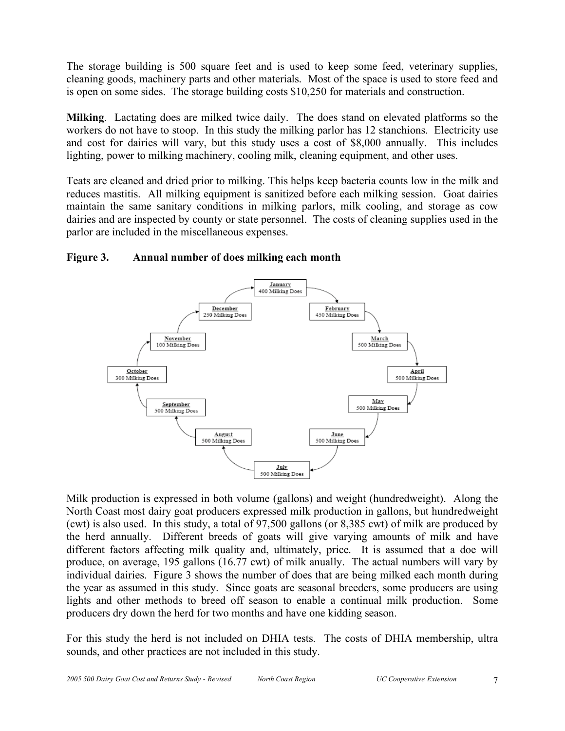The storage building is 500 square feet and is used to keep some feed, veterinary supplies, cleaning goods, machinery parts and other materials. Most of the space is used to store feed and is open on some sides. The storage building costs \$10,250 for materials and construction.

**Milking**. Lactating does are milked twice daily. The does stand on elevated platforms so the workers do not have to stoop. In this study the milking parlor has 12 stanchions. Electricity use and cost for dairies will vary, but this study uses a cost of \$8,000 annually. This includes lighting, power to milking machinery, cooling milk, cleaning equipment, and other uses.

Teats are cleaned and dried prior to milking. This helps keep bacteria counts low in the milk and reduces mastitis. All milking equipment is sanitized before each milking session. Goat dairies maintain the same sanitary conditions in milking parlors, milk cooling, and storage as cow dairies and are inspected by county or state personnel. The costs of cleaning supplies used in the parlor are included in the miscellaneous expenses.





Milk production is expressed in both volume (gallons) and weight (hundredweight). Along the North Coast most dairy goat producers expressed milk production in gallons, but hundredweight (cwt) is also used. In this study, a total of 97,500 gallons (or 8,385 cwt) of milk are produced by the herd annually. Different breeds of goats will give varying amounts of milk and have different factors affecting milk quality and, ultimately, price. It is assumed that a doe will produce, on average, 195 gallons (16.77 cwt) of milk anually. The actual numbers will vary by individual dairies. Figure 3 shows the number of does that are being milked each month during the year as assumed in this study. Since goats are seasonal breeders, some producers are using lights and other methods to breed off season to enable a continual milk production. Some producers dry down the herd for two months and have one kidding season.

For this study the herd is not included on DHIA tests. The costs of DHIA membership, ultra sounds, and other practices are not included in this study.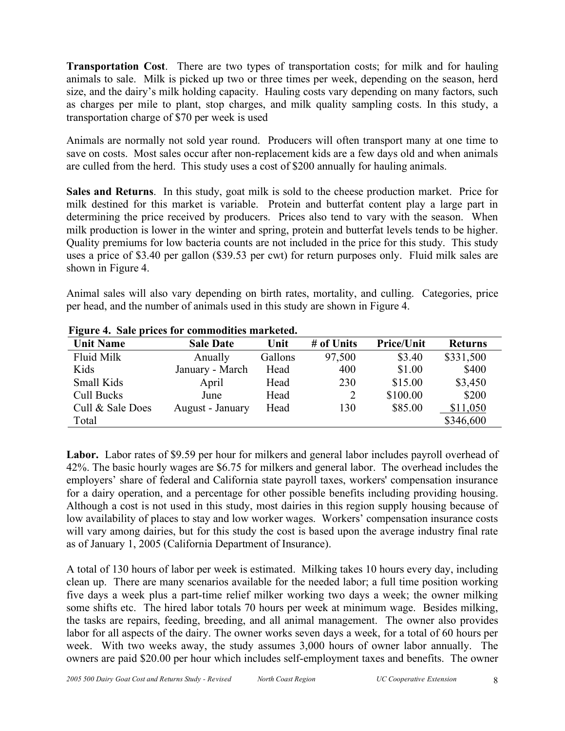**Transportation Cost**. There are two types of transportation costs; for milk and for hauling animals to sale. Milk is picked up two or three times per week, depending on the season, herd size, and the dairy's milk holding capacity. Hauling costs vary depending on many factors, such as charges per mile to plant, stop charges, and milk quality sampling costs. In this study, a transportation charge of \$70 per week is used

Animals are normally not sold year round. Producers will often transport many at one time to save on costs. Most sales occur after non-replacement kids are a few days old and when animals are culled from the herd. This study uses a cost of \$200 annually for hauling animals.

**Sales and Returns**. In this study, goat milk is sold to the cheese production market. Price for milk destined for this market is variable. Protein and butterfat content play a large part in determining the price received by producers. Prices also tend to vary with the season. When milk production is lower in the winter and spring, protein and butterfat levels tends to be higher. Quality premiums for low bacteria counts are not included in the price for this study. This study uses a price of \$3.40 per gallon (\$39.53 per cwt) for return purposes only. Fluid milk sales are shown in Figure 4.

Animal sales will also vary depending on birth rates, mortality, and culling. Categories, price per head, and the number of animals used in this study are shown in Figure 4.

| <b>Unit Name</b> | <b>Sale Date</b> | Unit    | # of Units | <b>Price/Unit</b> | <b>Returns</b> |
|------------------|------------------|---------|------------|-------------------|----------------|
| Fluid Milk       | Anually          | Gallons | 97,500     | \$3.40            | \$331,500      |
| Kids             | January - March  | Head    | 400        | \$1.00            | \$400          |
| Small Kids       | April            | Head    | 230        | \$15.00           | \$3,450        |
| Cull Bucks       | June             | Head    | 2          | \$100.00          | \$200          |
| Cull & Sale Does | August - January | Head    | 130        | \$85.00           | \$11,050       |
| Total            |                  |         |            |                   | \$346,600      |

#### **Figure 4. Sale prices for commodities marketed.**

**Labor.** Labor rates of \$9.59 per hour for milkers and general labor includes payroll overhead of 42%. The basic hourly wages are \$6.75 for milkers and general labor. The overhead includes the employers' share of federal and California state payroll taxes, workers' compensation insurance for a dairy operation, and a percentage for other possible benefits including providing housing. Although a cost is not used in this study, most dairies in this region supply housing because of low availability of places to stay and low worker wages. Workers' compensation insurance costs will vary among dairies, but for this study the cost is based upon the average industry final rate as of January 1, 2005 (California Department of Insurance).

A total of 130 hours of labor per week is estimated. Milking takes 10 hours every day, including clean up. There are many scenarios available for the needed labor; a full time position working five days a week plus a part-time relief milker working two days a week; the owner milking some shifts etc. The hired labor totals 70 hours per week at minimum wage. Besides milking, the tasks are repairs, feeding, breeding, and all animal management. The owner also provides labor for all aspects of the dairy. The owner works seven days a week, for a total of 60 hours per week. With two weeks away, the study assumes 3,000 hours of owner labor annually. The owners are paid \$20.00 per hour which includes self-employment taxes and benefits. The owner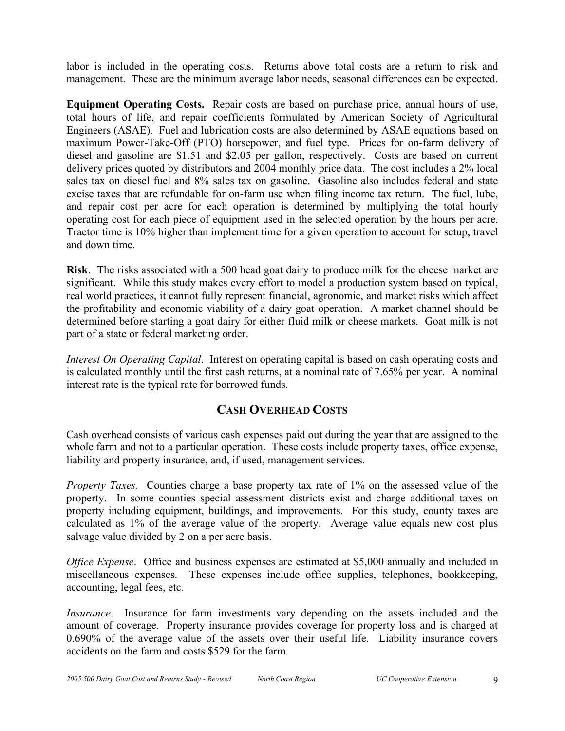labor is included in the operating costs. Returns above total costs are a return to risk and management. These are the minimum average labor needs, seasonal differences can be expected.

**Equipment Operating Costs.** Repair costs are based on purchase price, annual hours of use, total hours of life, and repair coefficients formulated by American Society of Agricultural Engineers (ASAE). Fuel and lubrication costs are also determined by ASAE equations based on maximum Power-Take-Off (PTO) horsepower, and fuel type. Prices for on-farm delivery of diesel and gasoline are \$1.51 and \$2.05 per gallon, respectively. Costs are based on current delivery prices quoted by distributors and 2004 monthly price data. The cost includes a 2% local sales tax on diesel fuel and 8% sales tax on gasoline. Gasoline also includes federal and state excise taxes that are refundable for on-farm use when filing income tax return. The fuel, lube, and repair cost per acre for each operation is determined by multiplying the total hourly operating cost for each piece of equipment used in the selected operation by the hours per acre. Tractor time is 10% higher than implement time for a given operation to account for setup, travel and down time.

**Risk**. The risks associated with a 500 head goat dairy to produce milk for the cheese market are significant. While this study makes every effort to model a production system based on typical, real world practices, it cannot fully represent financial, agronomic, and market risks which affect the profitability and economic viability of a dairy goat operation. A market channel should be determined before starting a goat dairy for either fluid milk or cheese markets. Goat milk is not part of a state or federal marketing order.

*Interest On Operating Capital*. Interest on operating capital is based on cash operating costs and is calculated monthly until the first cash returns, at a nominal rate of 7.65% per year. A nominal interest rate is the typical rate for borrowed funds.

## **CASH OVERHEAD COSTS**

Cash overhead consists of various cash expenses paid out during the year that are assigned to the whole farm and not to a particular operation. These costs include property taxes, office expense, liability and property insurance, and, if used, management services.

*Property Taxes.* Counties charge a base property tax rate of 1% on the assessed value of the property. In some counties special assessment districts exist and charge additional taxes on property including equipment, buildings, and improvements. For this study, county taxes are calculated as 1% of the average value of the property. Average value equals new cost plus salvage value divided by 2 on a per acre basis.

*Office Expense*. Office and business expenses are estimated at \$5,000 annually and included in miscellaneous expenses. These expenses include office supplies, telephones, bookkeeping, accounting, legal fees, etc.

*Insurance*. Insurance for farm investments vary depending on the assets included and the amount of coverage. Property insurance provides coverage for property loss and is charged at 0.690% of the average value of the assets over their useful life. Liability insurance covers accidents on the farm and costs \$529 for the farm.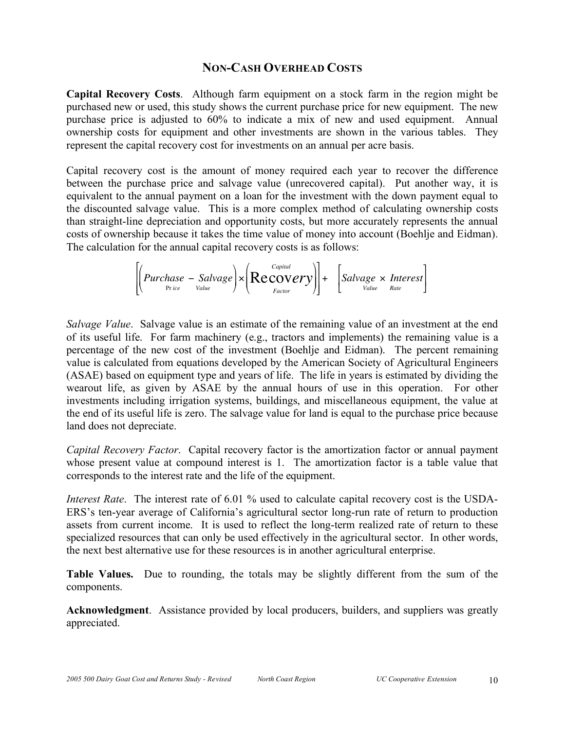### **NON-CASH OVERHEAD COSTS**

**Capital Recovery Costs**. Although farm equipment on a stock farm in the region might be purchased new or used, this study shows the current purchase price for new equipment. The new purchase price is adjusted to 60% to indicate a mix of new and used equipment. Annual ownership costs for equipment and other investments are shown in the various tables. They represent the capital recovery cost for investments on an annual per acre basis.

Capital recovery cost is the amount of money required each year to recover the difference between the purchase price and salvage value (unrecovered capital). Put another way, it is equivalent to the annual payment on a loan for the investment with the down payment equal to the discounted salvage value. This is a more complex method of calculating ownership costs than straight-line depreciation and opportunity costs, but more accurately represents the annual costs of ownership because it takes the time value of money into account (Boehlje and Eidman). The calculation for the annual capital recovery costs is as follows:

$$
\left[\left(Purchase - Salvage\right) \times \left( \underset{Factor}{Recovery} \right) \right] + \left[ Salvage \times Interest \right]
$$

*Salvage Value*. Salvage value is an estimate of the remaining value of an investment at the end of its useful life. For farm machinery (e.g., tractors and implements) the remaining value is a ! percentage of the new cost of the investment (Boehlje and Eidman). The percent remaining value is calculated from equations developed by the American Society of Agricultural Engineers (ASAE) based on equipment type and years of life. The life in years is estimated by dividing the wearout life, as given by ASAE by the annual hours of use in this operation. For other investments including irrigation systems, buildings, and miscellaneous equipment, the value at the end of its useful life is zero. The salvage value for land is equal to the purchase price because land does not depreciate.

*Capital Recovery Factor*. Capital recovery factor is the amortization factor or annual payment whose present value at compound interest is 1. The amortization factor is a table value that corresponds to the interest rate and the life of the equipment.

*Interest Rate*. The interest rate of 6.01 % used to calculate capital recovery cost is the USDA-ERS's ten-year average of California's agricultural sector long-run rate of return to production assets from current income. It is used to reflect the long-term realized rate of return to these specialized resources that can only be used effectively in the agricultural sector. In other words, the next best alternative use for these resources is in another agricultural enterprise.

**Table Values.** Due to rounding, the totals may be slightly different from the sum of the components.

**Acknowledgment**. Assistance provided by local producers, builders, and suppliers was greatly appreciated.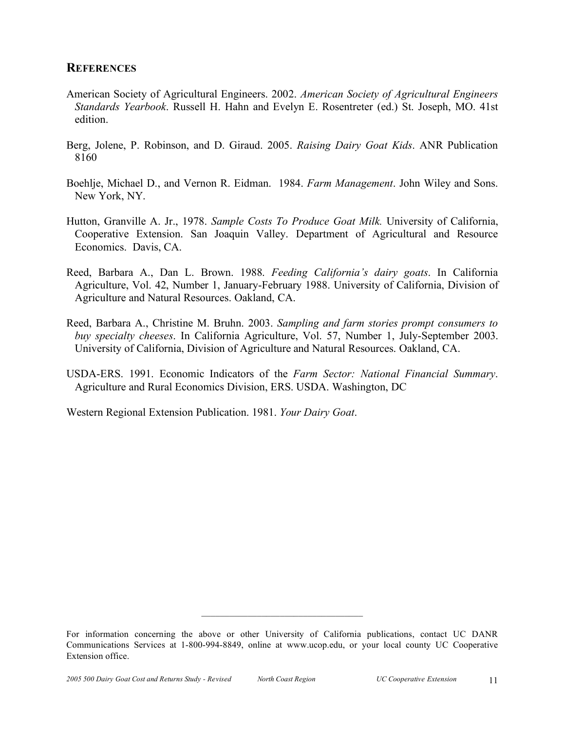#### **REFERENCES**

- American Society of Agricultural Engineers. 2002. *American Society of Agricultural Engineers Standards Yearbook*. Russell H. Hahn and Evelyn E. Rosentreter (ed.) St. Joseph, MO. 41st edition.
- Berg, Jolene, P. Robinson, and D. Giraud. 2005. *Raising Dairy Goat Kids*. ANR Publication 8160
- Boehlje, Michael D., and Vernon R. Eidman. 1984. *Farm Management*. John Wiley and Sons. New York, NY.
- Hutton, Granville A. Jr., 1978. *Sample Costs To Produce Goat Milk.* University of California, Cooperative Extension. San Joaquin Valley. Department of Agricultural and Resource Economics. Davis, CA.
- Reed, Barbara A., Dan L. Brown. 1988. *Feeding California's dairy goats*. In California Agriculture, Vol. 42, Number 1, January-February 1988. University of California, Division of Agriculture and Natural Resources. Oakland, CA.
- Reed, Barbara A., Christine M. Bruhn. 2003. *Sampling and farm stories prompt consumers to buy specialty cheeses*. In California Agriculture, Vol. 57, Number 1, July-September 2003. University of California, Division of Agriculture and Natural Resources. Oakland, CA.
- USDA-ERS. 1991. Economic Indicators of the *Farm Sector: National Financial Summary*. Agriculture and Rural Economics Division, ERS. USDA. Washington, DC

Western Regional Extension Publication. 1981. *Your Dairy Goat*.

 $\mathcal{L}_\text{max}$ 

For information concerning the above or other University of California publications, contact UC DANR Communications Services at 1-800-994-8849, online at www.ucop.edu, or your local county UC Cooperative Extension office.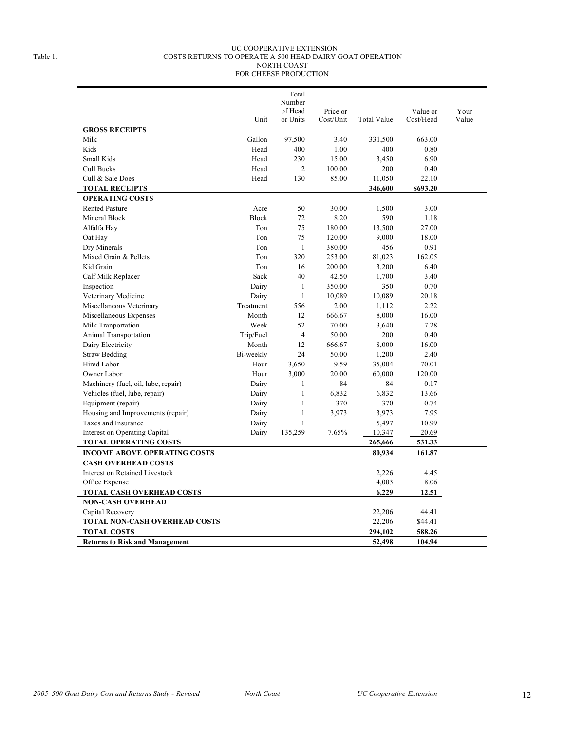#### UC COOPERATIVE EXTENSION Table 1. COSTS RETURNS TO OPERATE A 500 HEAD DAIRY GOAT OPERATION NORTH COAST FOR CHEESE PRODUCTION

|                                       |              | Total             |           |                    |           |       |
|---------------------------------------|--------------|-------------------|-----------|--------------------|-----------|-------|
|                                       |              | Number<br>of Head | Price or  |                    | Value or  | Your  |
|                                       | Unit         | or Units          | Cost/Unit | <b>Total Value</b> | Cost/Head | Value |
| <b>GROSS RECEIPTS</b>                 |              |                   |           |                    |           |       |
| Milk                                  | Gallon       | 97,500            | 3.40      | 331,500            | 663.00    |       |
| Kids                                  | Head         | 400               | 1.00      | 400                | 0.80      |       |
| Small Kids                            | Head         | 230               | 15.00     | 3,450              | 6.90      |       |
| Cull Bucks                            | Head         | $\overline{c}$    | 100.00    | 200                | 0.40      |       |
| Cull & Sale Does                      | Head         | 130               | 85.00     | 11,050             | 22.10     |       |
| <b>TOTAL RECEIPTS</b>                 |              |                   |           | 346,600            | \$693.20  |       |
| <b>OPERATING COSTS</b>                |              |                   |           |                    |           |       |
| <b>Rented Pasture</b>                 | Acre         | 50                | 30.00     | 1,500              | 3.00      |       |
| Mineral Block                         | <b>Block</b> | 72                | 8.20      | 590                | 1.18      |       |
| Alfalfa Hay                           | Ton          | 75                | 180.00    | 13,500             | 27.00     |       |
| Oat Hay                               | Ton          | 75                | 120.00    | 9,000              | 18.00     |       |
| Dry Minerals                          | Ton          | $\mathbf{1}$      | 380.00    | 456                | 0.91      |       |
| Mixed Grain & Pellets                 | Ton          | 320               | 253.00    | 81,023             | 162.05    |       |
| Kid Grain                             | Ton          | 16                | 200.00    | 3,200              | 6.40      |       |
| Calf Milk Replacer                    | Sack         | 40                | 42.50     | 1,700              | 3.40      |       |
| Inspection                            | Dairy        | $\mathbf{1}$      | 350.00    | 350                | 0.70      |       |
| Veterinary Medicine                   | Dairy        | $\mathbf{1}$      | 10,089    | 10,089             | 20.18     |       |
| Miscellaneous Veterinary              | Treatment    | 556               | 2.00      | 1,112              | 2.22      |       |
| Miscellaneous Expenses                | Month        | 12                | 666.67    | 8,000              | 16.00     |       |
| Milk Tranportation                    | Week         | 52                | 70.00     | 3,640              | 7.28      |       |
| Animal Transportation                 | Trip/Fuel    | $\overline{4}$    | 50.00     | 200                | 0.40      |       |
| Dairy Electricity                     | Month        | 12                | 666.67    | 8,000              | 16.00     |       |
| <b>Straw Bedding</b>                  | Bi-weekly    | 24                | 50.00     | 1,200              | 2.40      |       |
| Hired Labor                           | Hour         | 3,650             | 9.59      | 35,004             | 70.01     |       |
| Owner Labor                           | Hour         | 3,000             | 20.00     | 60,000             | 120.00    |       |
| Machinery (fuel, oil, lube, repair)   | Dairy        | 1                 | 84        | 84                 | 0.17      |       |
| Vehicles (fuel, lube, repair)         | Dairy        | $\mathbf{1}$      | 6,832     | 6,832              | 13.66     |       |
| Equipment (repair)                    | Dairy        | $\mathbf{1}$      | 370       | 370                | 0.74      |       |
| Housing and Improvements (repair)     | Dairy        | $\mathbf{1}$      | 3,973     | 3,973              | 7.95      |       |
| Taxes and Insurance                   | Dairy        | $\mathbf{1}$      |           | 5,497              | 10.99     |       |
| Interest on Operating Capital         | Dairy        | 135,259           | 7.65%     | 10,347             | 20.69     |       |
| <b>TOTAL OPERATING COSTS</b>          |              |                   |           | 265,666            | 531.33    |       |
| <b>INCOME ABOVE OPERATING COSTS</b>   |              |                   |           | 80,934             | 161.87    |       |
| <b>CASH OVERHEAD COSTS</b>            |              |                   |           |                    |           |       |
| <b>Interest on Retained Livestock</b> |              |                   |           | 2,226              | 4.45      |       |
| Office Expense                        |              |                   |           | 4,003              | 8.06      |       |
| <b>TOTAL CASH OVERHEAD COSTS</b>      |              |                   |           | 6,229              | 12.51     |       |
| <b>NON-CASH OVERHEAD</b>              |              |                   |           |                    |           |       |
| Capital Recovery                      |              |                   |           | 22,206             | 44.41     |       |
| TOTAL NON-CASH OVERHEAD COSTS         |              |                   |           | 22,206             | \$44.41   |       |
| <b>TOTAL COSTS</b>                    |              |                   |           | 294,102            | 588.26    |       |
| <b>Returns to Risk and Management</b> |              |                   |           | 52,498             | 104.94    |       |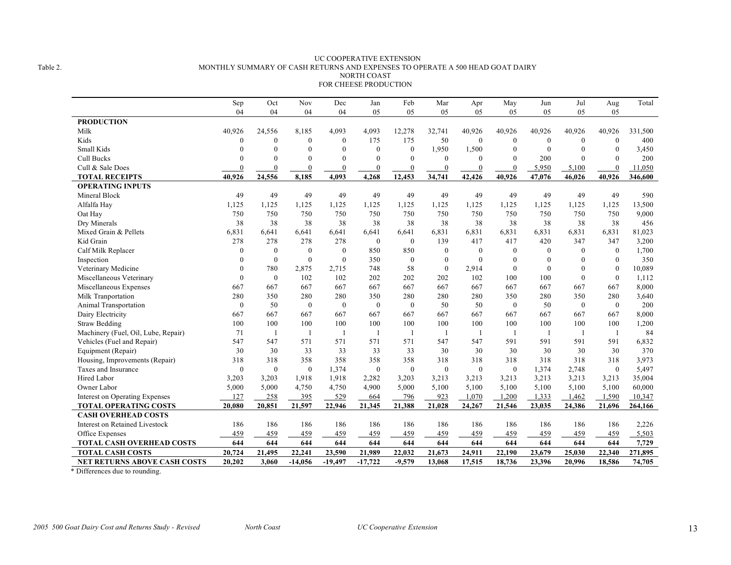#### UC COOPERATIVE EXTENSION Table 2. MONTHLY SUMMARY OF CASH RETURNS AND EXPENSES TO OPERATE A 500 HEAD GOAT DAIRY NORTH COAST FOR CHEESE PRODUCTION

|                                       | Sep          | Oct              | Nov              | Dec          | Jan              | Feb            | Mar              | Apr              | May              | Jun              | Jul          | Aug          | Total   |
|---------------------------------------|--------------|------------------|------------------|--------------|------------------|----------------|------------------|------------------|------------------|------------------|--------------|--------------|---------|
|                                       | 04           | 04               | 04               | 04           | 05               | 05             | 05               | 05               | 05               | 05               | 05           | 05           |         |
| <b>PRODUCTION</b>                     |              |                  |                  |              |                  |                |                  |                  |                  |                  |              |              |         |
| Milk                                  | 40,926       | 24,556           | 8,185            | 4,093        | 4,093            | 12,278         | 32,741           | 40,926           | 40,926           | 40,926           | 40,926       | 40,926       | 331,500 |
| Kids                                  | $\theta$     | $\mathbf{0}$     | $\boldsymbol{0}$ | $\mathbf{0}$ | 175              | 175            | 50               | $\bf{0}$         | $\boldsymbol{0}$ | $\boldsymbol{0}$ | $\mathbf{0}$ | $\mathbf{0}$ | 400     |
| Small Kids                            | $\theta$     | $\mathbf{0}$     | $\mathbf{0}$     | $\mathbf{0}$ | $\mathbf{0}$     | $\mathbf{0}$   | 1,950            | 1,500            | $\mathbf{0}$     | $\theta$         | $\theta$     | $\theta$     | 3,450   |
| Cull Bucks                            | $\Omega$     | $\theta$         | $\mathbf{0}$     | $\mathbf{0}$ | $\theta$         | $\Omega$       | $\theta$         | $\boldsymbol{0}$ | $\Omega$         | 200              | $\Omega$     | $\theta$     | 200     |
| Cull & Sale Does                      | $\Omega$     | $\theta$         | $\mathbf{0}$     | $\mathbf{0}$ | $\theta$         | $\mathbf{0}$   | $\theta$         | $\boldsymbol{0}$ | $\theta$         | 5.950            | 5.100        | $\theta$     | 11.050  |
| <b>TOTAL RECEIPTS</b>                 | 40,926       | 24,556           | 8,185            | 4,093        | 4,268            | 12,453         | 34,741           | 42,426           | 40,926           | 47,076           | 46,026       | 40,926       | 346,600 |
| <b>OPERATING INPUTS</b>               |              |                  |                  |              |                  |                |                  |                  |                  |                  |              |              |         |
| Mineral Block                         | 49           | 49               | 49               | 49           | 49               | 49             | 49               | 49               | 49               | 49               | 49           | 49           | 590     |
| Alfalfa Hay                           | 1,125        | 1,125            | 1,125            | 1,125        | 1,125            | 1,125          | 1,125            | 1,125            | 1,125            | 1,125            | 1,125        | 1,125        | 13,500  |
| Oat Hay                               | 750          | 750              | 750              | 750          | 750              | 750            | 750              | 750              | 750              | 750              | 750          | 750          | 9,000   |
| Dry Minerals                          | 38           | 38               | 38               | 38           | 38               | 38             | 38               | 38               | 38               | 38               | 38           | 38           | 456     |
| Mixed Grain & Pellets                 | 6,831        | 6,641            | 6,641            | 6,641        | 6,641            | 6,641          | 6,831            | 6,831            | 6,831            | 6,831            | 6,831        | 6,831        | 81,023  |
| Kid Grain                             | 278          | 278              | 278              | 278          | $\mathbf{0}$     | $\mathbf{0}$   | 139              | 417              | 417              | 420              | 347          | 347          | 3,200   |
| Calf Milk Replacer                    | $\mathbf{0}$ | $\boldsymbol{0}$ | $\boldsymbol{0}$ | $\mathbf{0}$ | 850              | 850            | $\mathbf{0}$     | $\mathbf{0}$     | $\mathbf{0}$     | $\theta$         | $\mathbf{0}$ | $\mathbf{0}$ | 1,700   |
| Inspection                            | $\mathbf{0}$ | $\mathbf{0}$     | $\mathbf{0}$     | $\mathbf{0}$ | 350              | $\mathbf{0}$   | $\mathbf{0}$     | $\overline{0}$   | $\mathbf{0}$     | $\theta$         | $\mathbf{0}$ | $\mathbf{0}$ | 350     |
| Veterinary Medicine                   | $\theta$     | 780              | 2,875            | 2,715        | 748              | 58             | $\mathbf{0}$     | 2,914            | $\mathbf{0}$     | $\overline{0}$   | $\mathbf{0}$ | $\theta$     | 10,089  |
| Miscellaneous Veterinary              | $\theta$     | $\mathbf{0}$     | 102              | 102          | 202              | 202            | 202              | 102              | 100              | 100              | $\theta$     | $\mathbf{0}$ | 1,112   |
| Miscellaneous Expenses                | 667          | 667              | 667              | 667          | 667              | 667            | 667              | 667              | 667              | 667              | 667          | 667          | 8,000   |
| Milk Tranportation                    | 280          | 350              | 280              | 280          | 350              | 280            | 280              | 280              | 350              | 280              | 350          | 280          | 3,640   |
| Animal Transportation                 | $\mathbf{0}$ | 50               | $\mathbf{0}$     | $\mathbf{0}$ | $\mathbf{0}$     | $\mathbf{0}$   | 50               | 50               | $\mathbf{0}$     | 50               | $\mathbf{0}$ | $\mathbf{0}$ | 200     |
| Dairy Electricity                     | 667          | 667              | 667              | 667          | 667              | 667            | 667              | 667              | 667              | 667              | 667          | 667          | 8,000   |
| <b>Straw Bedding</b>                  | 100          | 100              | 100              | 100          | 100              | 100            | 100              | 100              | 100              | 100              | 100          | 100          | 1,200   |
| Machinery (Fuel, Oil, Lube, Repair)   | 71           | $\overline{1}$   |                  | -1           | $\overline{1}$   | $\overline{1}$ | $\overline{1}$   | -1               | -1               | $\overline{1}$   | -1           | -1           | 84      |
| Vehicles (Fuel and Repair)            | 547          | 547              | 571              | 571          | 571              | 571            | 547              | 547              | 591              | 591              | 591          | 591          | 6,832   |
| Equipment (Repair)                    | 30           | 30               | 33               | 33           | 33               | 33             | 30               | 30               | 30               | 30               | 30           | 30           | 370     |
| Housing, Improvements (Repair)        | 318          | 318              | 358              | 358          | 358              | 358            | 318              | 318              | 318              | 318              | 318          | 318          | 3,973   |
| Taxes and Insurance                   | $\mathbf{0}$ | $\boldsymbol{0}$ | $\mathbf{0}$     | 1,374        | $\boldsymbol{0}$ | $\mathbf{0}$   | $\boldsymbol{0}$ | $\bf{0}$         | $\mathbf{0}$     | 1,374            | 2,748        | $\mathbf{0}$ | 5,497   |
| Hired Labor                           | 3,203        | 3,203            | 1,918            | 1,918        | 2,282            | 3,203          | 3,213            | 3,213            | 3,213            | 3,213            | 3,213        | 3,213        | 35,004  |
| Owner Labor                           | 5,000        | 5,000            | 4,750            | 4,750        | 4,900            | 5,000          | 5,100            | 5,100            | 5,100            | 5,100            | 5,100        | 5,100        | 60,000  |
| <b>Interest on Operating Expenses</b> | 127          | 258              | 395              | 529          | 664              | 796            | 923              | 1,070            | 1,200            | 1,333            | 1,462        | 1,590        | 10,347  |
| <b>TOTAL OPERATING COSTS</b>          | 20,080       | 20,851           | 21,597           | 22,946       | 21,345           | 21,388         | 21,028           | 24,267           | 21,546           | 23,035           | 24,386       | 21,696       | 264,166 |
| <b>CASH OVERHEAD COSTS</b>            |              |                  |                  |              |                  |                |                  |                  |                  |                  |              |              |         |
| <b>Interest on Retained Livestock</b> | 186          | 186              | 186              | 186          | 186              | 186            | 186              | 186              | 186              | 186              | 186          | 186          | 2,226   |
| Office Expenses                       | 459          | 459              | 459              | 459          | 459              | 459            | 459              | 459              | 459              | 459              | 459          | 459          | 5,503   |
| <b>TOTAL CASH OVERHEAD COSTS</b>      | 644          | 644              | 644              | 644          | 644              | 644            | 644              | 644              | 644              | 644              | 644          | 644          | 7,729   |
| <b>TOTAL CASH COSTS</b>               | 20,724       | 21,495           | 22,241           | 23,590       | 21,989           | 22,032         | 21,673           | 24,911           | 22,190           | 23,679           | 25,030       | 22,340       | 271,895 |
| <b>NET RETURNS ABOVE CASH COSTS</b>   | 20,202       | 3,060            | $-14,056$        | $-19,497$    | $-17,722$        | $-9,579$       | 13,068           | 17,515           | 18,736           | 23,396           | 20.996       | 18,586       | 74,705  |

\* Differences due to rounding.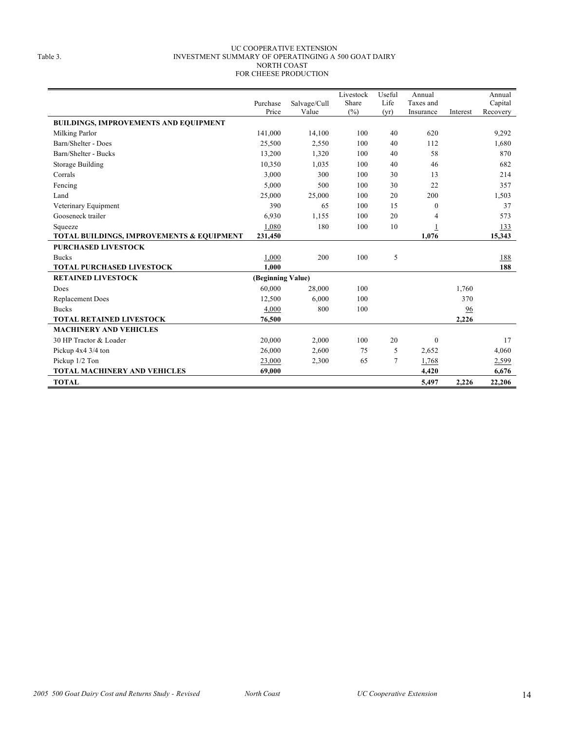#### UC COOPERATIVE EXTENSION Table 3. INVESTMENT SUMMARY OF OPERATINGING A 500 GOAT DAIRY NORTH COAST FOR CHEESE PRODUCTION

|                                                      |                   |                       | Livestock    | Useful         | Annual                 |          | Annual              |
|------------------------------------------------------|-------------------|-----------------------|--------------|----------------|------------------------|----------|---------------------|
|                                                      | Purchase<br>Price | Salvage/Cull<br>Value | Share<br>(%) | Life           | Taxes and<br>Insurance | Interest | Capital<br>Recovery |
| <b>BUILDINGS, IMPROVEMENTS AND EQUIPMENT</b>         |                   |                       |              | (yr)           |                        |          |                     |
|                                                      | 141,000           | 14,100                | 100          | 40             | 620                    |          | 9,292               |
| Milking Parlor<br>Barn/Shelter - Does                |                   |                       | 100          | 40             | 112                    |          |                     |
|                                                      | 25,500            | 2,550                 |              |                |                        |          | 1,680               |
| Barn/Shelter - Bucks                                 | 13,200            | 1,320                 | 100          | 40             | 58                     |          | 870                 |
| <b>Storage Building</b>                              | 10,350            | 1,035                 | 100          | 40             | 46                     |          | 682                 |
| Corrals                                              | 3,000             | 300                   | 100          | 30             | 13                     |          | 214                 |
| Fencing                                              | 5,000             | 500                   | 100          | 30             | 22                     |          | 357                 |
| Land                                                 | 25,000            | 25,000                | 100          | 20             | 200                    |          | 1,503               |
| Veterinary Equipment                                 | 390               | 65                    | 100          | 15             | $\mathbf{0}$           |          | 37                  |
| Gooseneck trailer                                    | 6.930             | 1,155                 | 100          | 20             | 4                      |          | 573                 |
| Squeeze                                              | 1,080             | 180                   | 100          | 10             |                        |          | 133                 |
| <b>TOTAL BUILDINGS, IMPROVEMENTS &amp; EQUIPMENT</b> | 231,450           |                       |              |                | 1,076                  |          | 15,343              |
| <b>PURCHASED LIVESTOCK</b>                           |                   |                       |              |                |                        |          |                     |
| <b>Bucks</b>                                         | 1,000             | 200                   | 100          | 5              |                        |          | 188                 |
| <b>TOTAL PURCHASED LIVESTOCK</b>                     | 1.000             |                       |              |                |                        |          | 188                 |
| <b>RETAINED LIVESTOCK</b>                            | (Beginning Value) |                       |              |                |                        |          |                     |
| Does                                                 | 60,000            | 28,000                | 100          |                |                        | 1,760    |                     |
| Replacement Does                                     | 12,500            | 6.000                 | 100          |                |                        | 370      |                     |
| <b>Bucks</b>                                         | 4,000             | 800                   | 100          |                |                        | 96       |                     |
| <b>TOTAL RETAINED LIVESTOCK</b>                      | 76,500            |                       |              |                |                        | 2,226    |                     |
| <b>MACHINERY AND VEHICLES</b>                        |                   |                       |              |                |                        |          |                     |
| 30 HP Tractor & Loader                               | 20,000            | 2,000                 | 100          | 20             | $\mathbf{0}$           |          | 17                  |
| Pickup 4x4 3/4 ton                                   | 26,000            | 2,600                 | 75           | 5              | 2,652                  |          | 4,060               |
| Pickup 1/2 Ton                                       | 23,000            | 2,300                 | 65           | $\overline{7}$ | 1,768                  |          | 2,599               |
| <b>TOTAL MACHINERY AND VEHICLES</b>                  | 69.000            |                       |              |                | 4,420                  |          | 6,676               |
| <b>TOTAL</b>                                         |                   |                       |              |                | 5,497                  | 2,226    | 22,206              |